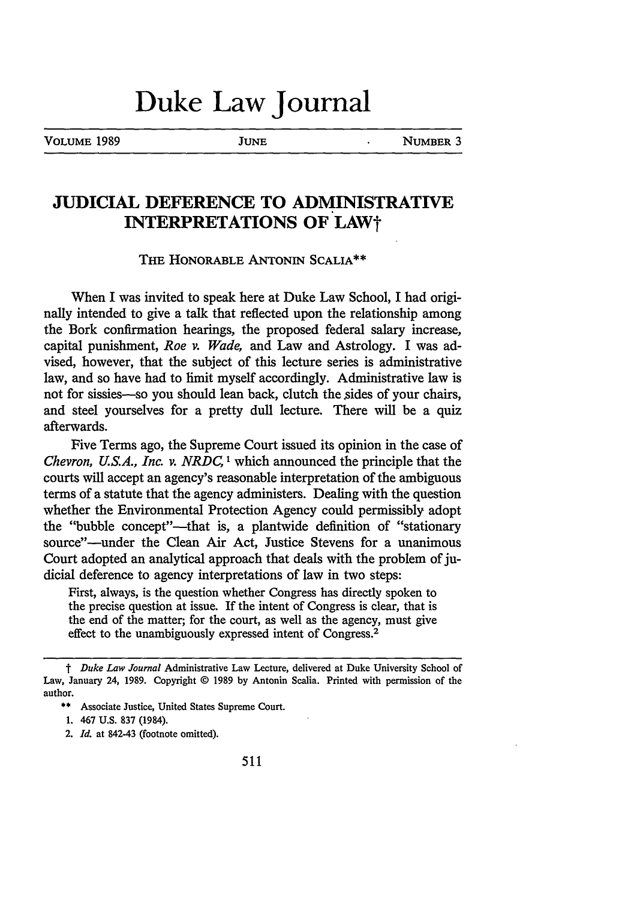# **Duke Law Journal**

**VOLUME 1989 JUNE 1989 JUNE 1989 MUMBER 3** 

# **JUDICIAL DEFERENCE TO ADMINISTRATIVE INTERPRETATIONS OF LAWt**

## THE HONORABLE ANTONIN SCALIA\*\*

When I was invited to speak here at Duke Law School, I had originally intended to give a talk that reflected upon the relationship among the Bork confirmation hearings, the proposed federal salary increase, capital punishment, *Roe v. Wade,* and Law and Astrology. I was advised, however, that the subject of this lecture series is administrative law, and so have had to limit myself accordingly. Administrative law is not for sissies-so you should lean back, clutch the sides of your chairs, and steel yourselves for a pretty dull lecture. There will be a quiz afterwards.

Five Terms ago, the Supreme Court issued its opinion in the case of *Chevron, U.S.A., Inc. v. NRDC, I* which announced the principle that the courts will accept an agency's reasonable interpretation of the ambiguous terms of a statute that the agency administers. Dealing with the question whether the Environmental Protection Agency could permissibly adopt the "bubble concept"-that is, a plantwide definition of "stationary source"---under the Clean Air Act, Justice Stevens for a unanimous Court adopted an analytical approach that deals with the problem of judicial deference to agency interpretations of law in two steps:

First, always, is the question whether Congress has directly spoken to the precise question at issue. If the intent of Congress is clear, that is the end of the matter; for the court, as well as the agency, must give effect to the unambiguously expressed intent of Congress. <sup>2</sup>

**2.** *Id.* at 842-43 (footnote omitted).

*t* Duke Law *Journal* Administrative Law Lecture, delivered at Duke University School of Law, January 24, **1989.** Copyright © 1989 **by** Antonin Scalia. Printed with permission of the author.

<sup>\*\*</sup> Associate Justice, United States Supreme Court.

**<sup>1.</sup>** 467 U.S. **837** (1984).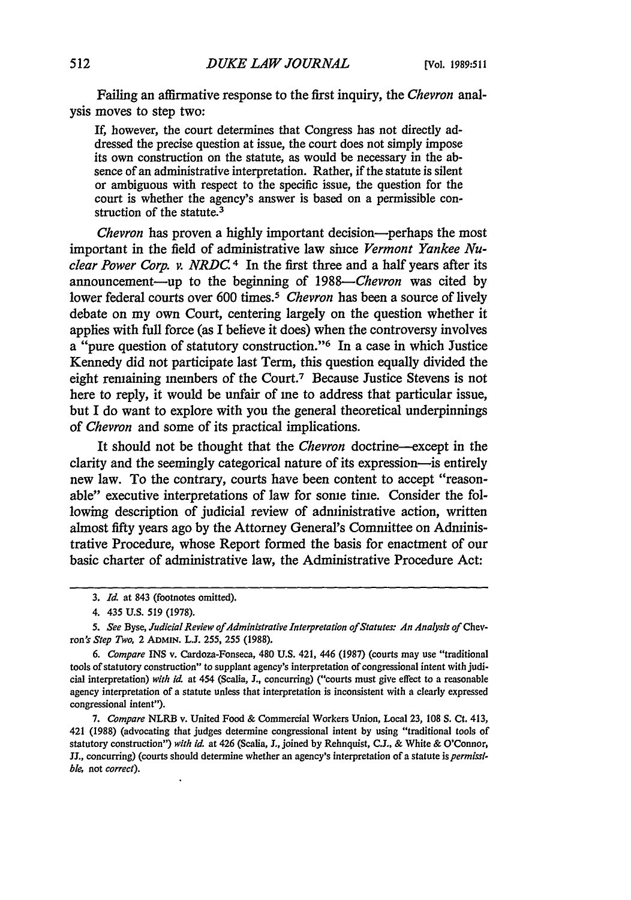Failing an affirmative response to the first inquiry, the *Chevron* analysis moves to step two:

If, however, the court determines that Congress has not directly addressed the precise question at issue, the court does not simply impose its own construction on the statute, as would be necessary in the absence of an administrative interpretation. Rather, if the statute is silent or ambiguous with respect to the specific issue, the question for the court is whether the agency's answer is based on a permissible construction of the statute.<sup>3</sup>

*Chevron* has proven a highly important decision—perhaps the most important in the field of administrative law since *Vermont Yankee Nuclear Power Corp. v. NRDC.* 4 In the first three and a half years after its announcement-up to the beginning of *1988-Chevron* was cited by lower federal courts over 600 times.<sup>5</sup> *Chevron* has been a source of lively debate on my own Court, centering largely on the question whether it applies with full force (as I believe it does) when the controversy involves a "pure question of statutory construction."<sup>6</sup> In a case in which Justice Kennedy did not participate last Term, this question equally divided the eight remaining members of the Court.7 Because Justice Stevens is not here to reply, it would be unfair of me to address that particular issue, but I do want to explore with you the general theoretical underpinnings of *Chevron* and some of its practical implications.

It should not be thought that the *Chevron* doctrine-except in the clarity and the seemingly categorical nature of its expression-is entirely new law. To the contrary, courts have been content to accept "reasonable" executive interpretations of law for some time. Consider the following description of judicial review of administrative action, written almost fifty years ago by the Attorney General's Committee on Administrative Procedure, whose Report formed the basis for enactment of our basic charter of administrative law, the Administrative Procedure Act:

*7. Compare* NLRB v. United Food **&** Commercial Workers Union, Local 23, 108 **S.** Ct. 413, 421 (1988) (advocating that judges determine congressional intent by using "traditional tools of statutory construction") *with id.* at 426 (Scalia, J., joined by Rehnquist, C.J., & White & O'Connor, **JJ.,** concurring) (courts should determine whether an agency's interpretation of a statute *ispermissible,* not *correct).*

*<sup>3.</sup> Id.* at 843 (footnotes omitted).

<sup>4. 435</sup> U.S. 519 (1978).

<sup>5.</sup> See Byse, Judicial Review of Administrative Interpretation of Statutes: An Analysis of Chev*ron's Step Two,* 2 ADMIN. **L.J.** 255, 255 (1988).

*<sup>6.</sup> Compare* INS v. Cardoza-Fonseca, 480 U.S. 421, 446 (1987) (courts may use "traditional tools of statutory construction" to supplant agency's interpretation of congressional intent with judicial interpretation) *with id.* at 454 (Scalia, **J.,** concurring) ("courts must give effect to a reasonable agency interpretation of a statute unless that interpretation is inconsistent with a clearly expressed congressional intent").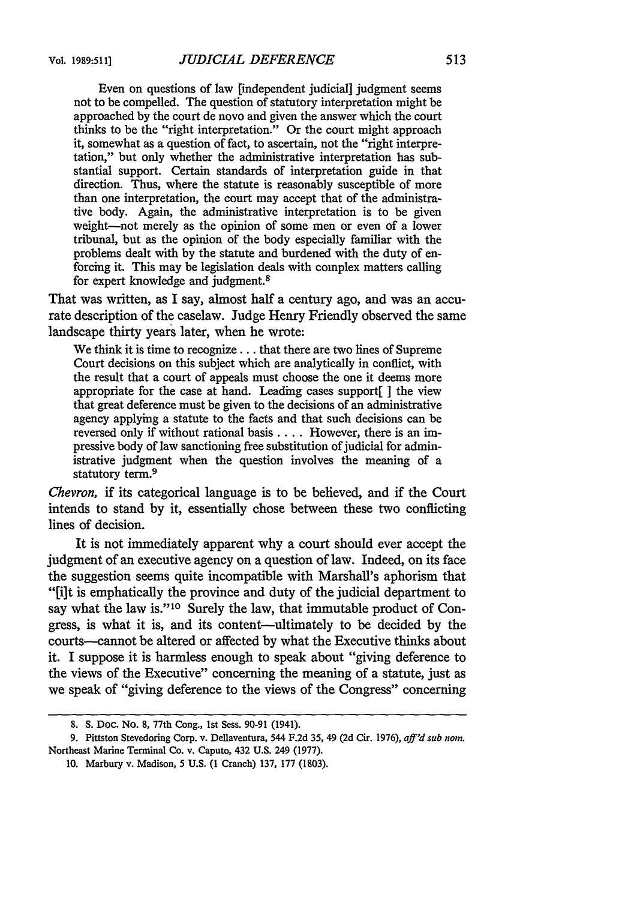Even on questions of law [independent judicial] judgment seems not to be compelled. The question of statutory interpretation might be approached by the court de novo and given the answer which the court thinks to be the "right interpretation." Or the court might approach it, somewhat as a question of fact, to ascertain, not the "right interpretation," but only whether the administrative interpretation has substantial support. Certain standards of interpretation guide in that direction. Thus, where the statute is reasonably susceptible of more than one interpretation, the court may accept that of the administrative body. Again, the administrative interpretation is to be given weight-not merely as the opinion of some men or even of a lower tribunal, but as the opinion of the body especially familiar with the problems dealt with by the statute and burdened with the duty of enforcing it. This may be legislation deals with complex matters calling for expert knowledge and judgment.8

That was written, as I say, almost half a century ago, and was an accurate description of the caselaw. Judge Henry Friendly observed the same landscape thirty years later, when he wrote:

We think it is time to recognize **...** that there are two lines of Supreme Court decisions on this subject which are analytically in conflict, with the result that a court of appeals must choose the one it deems more appropriate for the case at hand. Leading cases support[ **]** the view that great deference must be given to the decisions of an administrative agency applying a statute to the facts and that such decisions can be reversed only if without rational basis **....** However, there is an impressive body of law sanctioning free substitution of judicial for administrative judgment when the question involves the meaning of a statutory term.<sup>9</sup>

*Chevron*, if its categorical language is to be believed, and if the Court intends to stand by it, essentially chose between these two conflicting lines of decision.

It is not immediately apparent why a court should ever accept the judgment of an executive agency on a question of law. Indeed, on its face the suggestion seems quite incompatible with Marshall's aphorism that "[i]t is emphatically the province and duty of the judicial department to say what the law is."<sup>10</sup> Surely the law, that immutable product of Congress, is what it is, and its content-ultimately to be decided by the courts-cannot be altered or affected by what the Executive thinks about it. I suppose it is harmless enough to speak about "giving deference to the views of the Executive" concerning the meaning of a statute, just as we speak of "giving deference to the views of the Congress" concerning

<sup>8.</sup> S. Doc. No. 8, 77th Cong., 1st Sess. 90-91 (1941).

<sup>9.</sup> Pittston Stevedoring Corp. v. Dellaventura, 544 F.2d 35, 49 (2d Cir. 1976), *aff'd sub nor.* Northeast Marine Terminal Co. v. Caputo, 432 U.S. 249 (1977).

<sup>10.</sup> Marbury v. Madison, 5 U.S. (1 Cranch) 137, 177 (1803).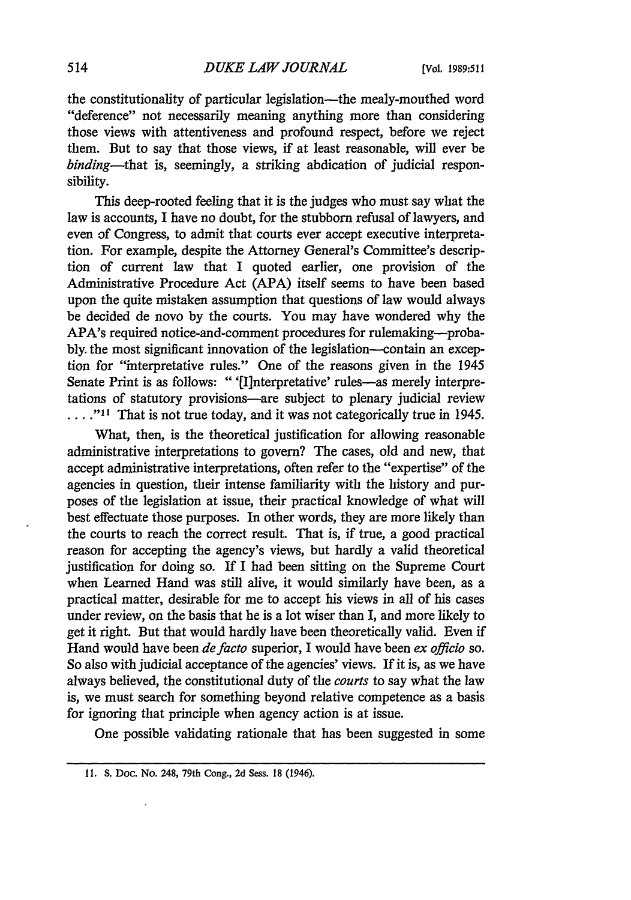the constitutionality of particular legislation-the mealy-mouthed word "deference" not necessarily meaning anything more than considering those views with attentiveness and profound respect, before we reject them. But to say that those views, if at least reasonable, will ever be *binding-that* is, seemingly, a striking abdication of judicial responsibility.

This deep-rooted feeling that it is the judges who must say what the law is accounts, I have no doubt, for the stubborn refusal of lawyers, and even of Congress, to admit that courts ever accept executive interpretation. For example, despite the Attorney General's Committee's description of current law that I quoted earlier, one provision of the Administrative Procedure Act (APA) itself seems to have been based upon the quite mistaken assumption that questions of law would always be decided de novo by the courts. You may have wondered why the APA's required notice-and-comment procedures for rulemaking--probably. the most significant innovation of the legislation-contain an exception for "interpretative rules." One of the reasons given in the 1945 Senate Print is as follows: "'[I]nterpretative' rules-as merely interpretations of statutory provisions-are subject to plenary judicial review ...."<sup>11</sup> That is not true today, and it was not categorically true in 1945.

What, then, is the theoretical justification for allowing reasonable administrative interpretations to govern? The cases, old and new, that accept administrative interpretations, often refer to the "expertise" of the agencies in question, their intense familiarity with the history and purposes of the legislation at issue, their practical knowledge of what will best effectuate those purposes. In other words, they are more likely than the courts to reach the correct result. That is, if true, a good practical reason for accepting the agency's views, but hardly a valid theoretical justification for doing so. If I had been sitting on the Supreme Court when Learned Hand was still alive, it would similarly have been, as a practical matter, desirable for me to accept his views in all of his cases under review, on the basis that he is a lot wiser than I, and more likely to get it right. But that would hardly have been theoretically valid. Even if Hand would have been *de facto* superior, I would have been *ex officio* so. So also with judicial acceptance of the agencies' views. If it is, as we have always believed, the constitutional duty of the *courts* to say what the law is, we must search for something beyond relative competence as a basis for ignoring that principle when agency action is at issue.

One possible validating rationale that has been suggested in some

<sup>11.</sup> **S.** Doc. No. 248, 79th Cong., 2d Sess. **18** (1946).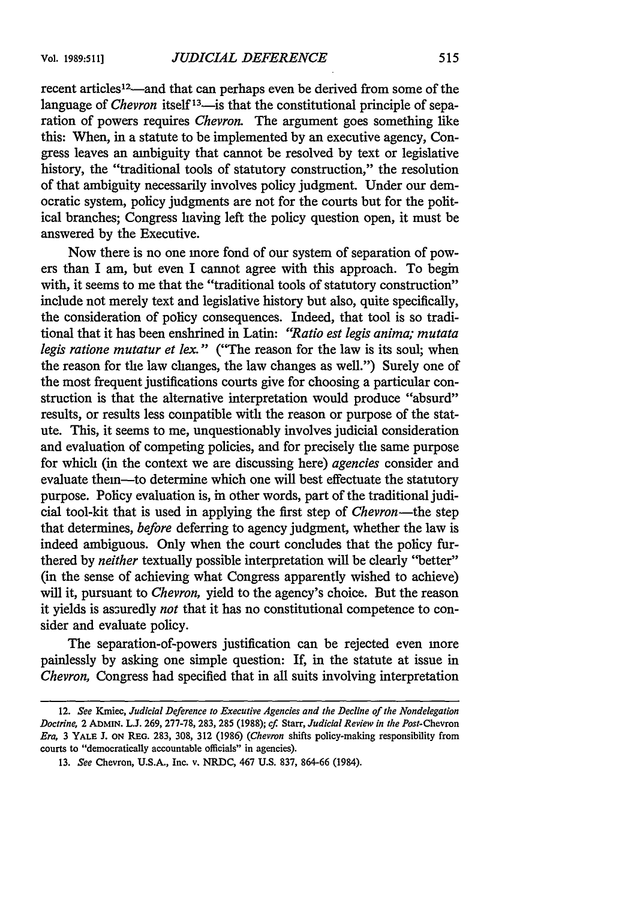recent articles<sup>12</sup>—and that can perhaps even be derived from some of the language of *Chevron* itself<sup>13</sup>—is that the constitutional principle of separation of powers requires *Chevron.* The argument goes something like this: When, in a statute to be implemented by an executive agency, Congress leaves an ambiguity that cannot be resolved by text or legislative history, the "traditional tools of statutory construction," the resolution of that ambiguity necessarily involves policy judgment. Under our democratic system, policy judgments are not for the courts but for the political branches; Congress having left the policy question open, it must be answered by the Executive.

Now there is no one more fond of our system of separation of powers than I am, but even I cannot agree with this approach. To begin with, it seems to me that the "traditional tools of statutory construction" include not merely text and legislative history but also, quite specifically, the consideration of policy consequences. Indeed, that tool is so traditional that it has been enshrined in Latin: *"Ratio est legis anima; mutata legis ratione mutatur et lex. "* ("The reason for the law is its soul; when the reason for the law changes, the law changes as well.") Surely one of the most frequent justifications courts give for choosing a particular construction is that the alternative interpretation would produce "absurd" results, or results less compatible with the reason or purpose of the statute. This, it seems to me, unquestionably involves judicial consideration and evaluation of competing policies, and for precisely the same purpose for which (in the context we are discussing here) *agencies* consider and evaluate them-to determine which one will best effectuate the statutory purpose. Policy evaluation is, in other words, part of the traditional judicial tool-kit that is used in applying the first step of *Chevron-the* step that determines, *before* deferring to agency judgment, whether the law is indeed ambiguous. Only when the court concludes that the policy furthered by *neither* textually possible interpretation will be clearly "better" (in the sense of achieving what Congress apparently wished to achieve) will it, pursuant to *Chevron,* yield to the agency's choice. But the reason it yields is assuredly *not* that it has no constitutional competence to consider and evaluate policy.

The separation-of-powers justification can be rejected even more painlessly by asking one simple question: If, in the statute at issue in *Chevron,* Congress had specified that in all suits involving interpretation

<sup>12.</sup> *See Kmiec, Judicial Deference to Executive Agencies and the Decline of the Nondelegation Doctrine,* 2 ADMIN. **L.J. 269, 277-78, 283, 285 (1988);** *cf* Starr, *Judicial Review in the Post-Chevron Era,* **3** YALE **J. ON** REG. 283, 308, 312 (1986) *(Chevron* shifts policy-making responsibility from courts to "democratically accountable officials" in agencies).

<sup>13.</sup> *See* Chevron, **U.S.A.,** Inc. v. NRDC, 467 U.S. 837, 864-66 (1984).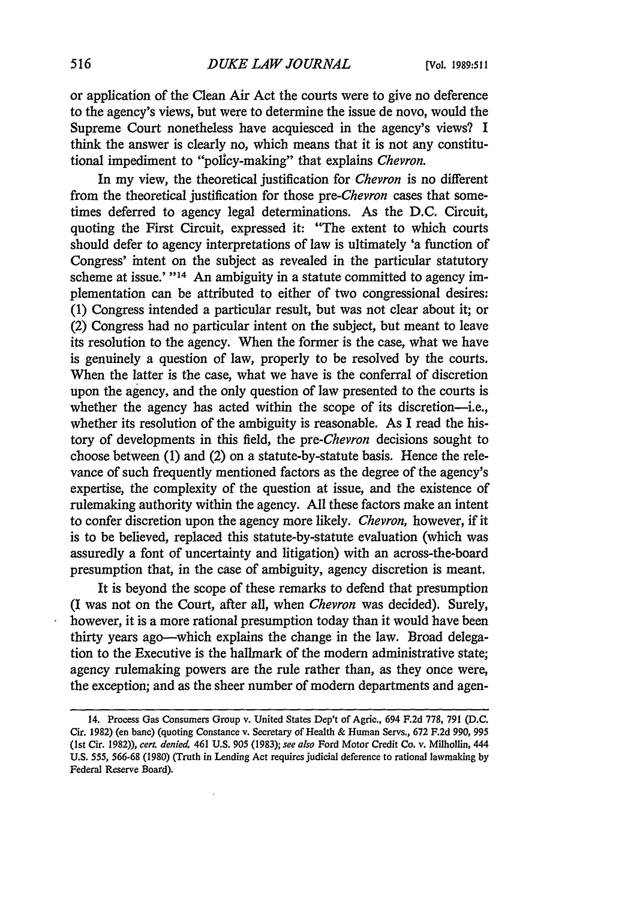#### *DUKE LAW JOURNAL*

or application of the Clean Air Act the courts were to give no deference to the agency's views, but were to determine the issue de novo, would the Supreme Court nonetheless have acquiesced in the agency's views? I think the answer is clearly no, which means that it is not any constitutional impediment to "policy-making" that explains *Chevron.*

In my view, the theoretical justification for *Chevron* is no different from the theoretical justification for those *pre-Chevron* cases that sometimes deferred to agency legal determinations. As the D.C. Circuit, quoting the First Circuit, expressed it: "The extent to which courts should defer to agency interpretations of law is ultimately 'a function of Congress' intent on the subject as revealed in the particular statutory scheme at issue.' **"14** An ambiguity in a statute committed to agency implementation can be attributed to either of two congressional desires: (1) Congress intended a particular result, but was not clear about it; or (2) Congress had no particular intent on the subject, but meant to leave its resolution to the agency. When the former is the case, what we have is genuinely a question of law, properly to be resolved by the courts. When the latter is the case, what we have is the conferral of discretion upon the agency, and the only question of law presented to the courts is whether the agency has acted within the scope of its discretion--i.e., whether its resolution of the ambiguity is reasonable. As I read the history of developments in this field, the *pre-Chevron* decisions sought to choose between (1) and (2) on a statute-by-statute basis. Hence the relevance of such frequently mentioned factors as the degree of the agency's expertise, the complexity of the question at issue, and the existence of rulemaking authority within the agency. All these factors make an intent to confer discretion upon the agency more likely. *Chevron,* however, if it is to be believed, replaced this statute-by-statute evaluation (which was assuredly a font of uncertainty and litigation) with an across-the-board presumption that, in the case of ambiguity, agency discretion is meant.

It is beyond the scope of these remarks to defend that presumption (I was not on the Court, after all, when *Chevron* was decided). Surely, however, it is a more rational presumption today than it would have been thirty years ago-which explains the change in the law. Broad delegation to the Executive is the hallmark of the modem administrative state; agency rulemaking powers are the rule rather than, as they once were, the exception; and as the sheer number of modern departments and agen-

<sup>14.</sup> Process Gas Consumers Group v. United States Dep't of Agric., 694 **F.2d 778, 791 (D.C.** Cir. 1982) (en banc) (quoting Constance v. Secretary of Health & Human Servs., **672** F.2d 990, **995** (1st Cir. 1982)), *cert. denied,* 461 U.S. 905 (1983); *see also* Ford Motor Credit Co. v. Milhollin, 444 U.S. 555, 566-68 (1980) (Truth in Lending Act requires judicial deference to rational lawmaking by Federal Reserve Board).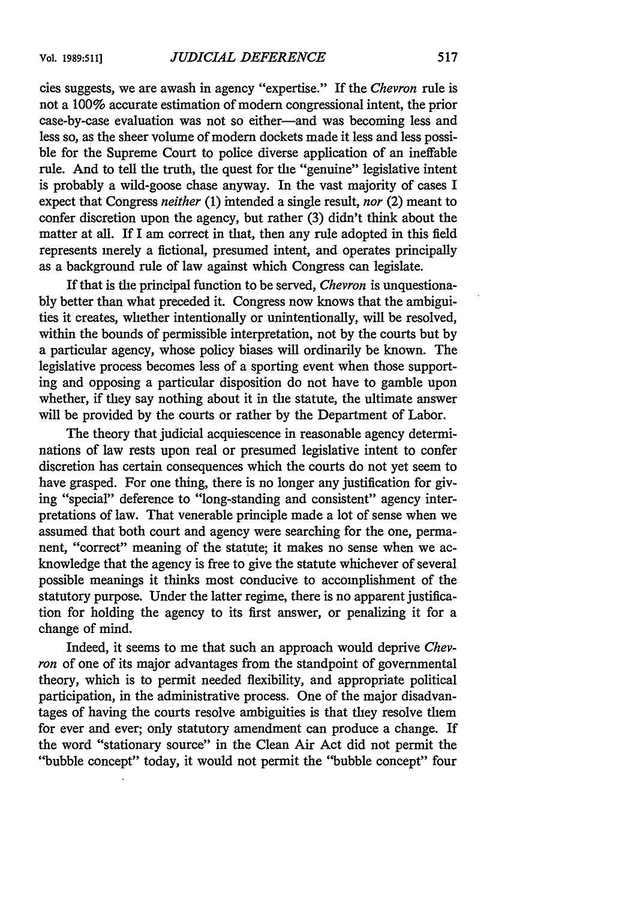cies suggests, we are awash in agency "expertise." If the *Chevron* rule is not a 100% accurate estimation of modem congressional intent, the prior case-by-case evaluation was not so either-and was becoming less and less so, as the sheer volume of modem dockets made it less and less possible for the Supreme Court to police diverse application of an ineffable rule. And to tell the truth, the quest for the "genuine" legislative intent is probably a wild-goose chase anyway. In the vast majority of cases I expect that Congress *neither* (1) intended a single result, *nor* (2) meant to confer discretion upon the agency, but rather (3) didn't think about the matter at all. If I am correct in that, then any rule adopted in this field represents merely a fictional, presumed intent, and operates principally as a background rule of law against which Congress can legislate.

If that is the principal function to be served, *Chevron* is unquestionably better than what preceded it. Congress now knows that the ambiguities it creates, whether intentionally or unintentionally, will be resolved, within the bounds of permissible interpretation, not by the courts but by a particular agency, whose policy biases will ordinarily be known. The legislative process becomes less of a sporting event when those supporting and opposing a particular disposition do not have to gamble upon whether, if they say nothing about it in the statute, the ultimate answer will be provided by the courts or rather by the Department of Labor.

The theory that judicial acquiescence in reasonable agency determinations of law rests upon real or presumed legislative intent to confer discretion has certain consequences which the courts do not yet seem to have grasped. For one thing, there is no longer any justification for giving "special" deference to "long-standing and consistent" agency interpretations of law. That venerable principle made a lot of sense when we assumed that both court and agency were searching for the one, permanent, "correct" meaning of the statute; it makes no sense when we acknowledge that the agency is free to give the statute whichever of several possible meanings it thinks most conducive to accomplishment of the statutory purpose. Under the latter regime, there is no apparent justification for holding the agency to its first answer, or penalizing it for a change of mind.

Indeed, it seems to me that such an approach would deprive *Chevron* of one of its major advantages from the standpoint of governmental theory, which is to permit needed flexibility, and appropriate political participation, in the administrative process. One of the major disadvantages of having the courts resolve ambiguities is that they resolve them for ever and ever; only statutory amendment can produce a change. If the word "stationary source" in the Clean Air Act did not permit the "bubble concept" today, it would not permit the "bubble concept" four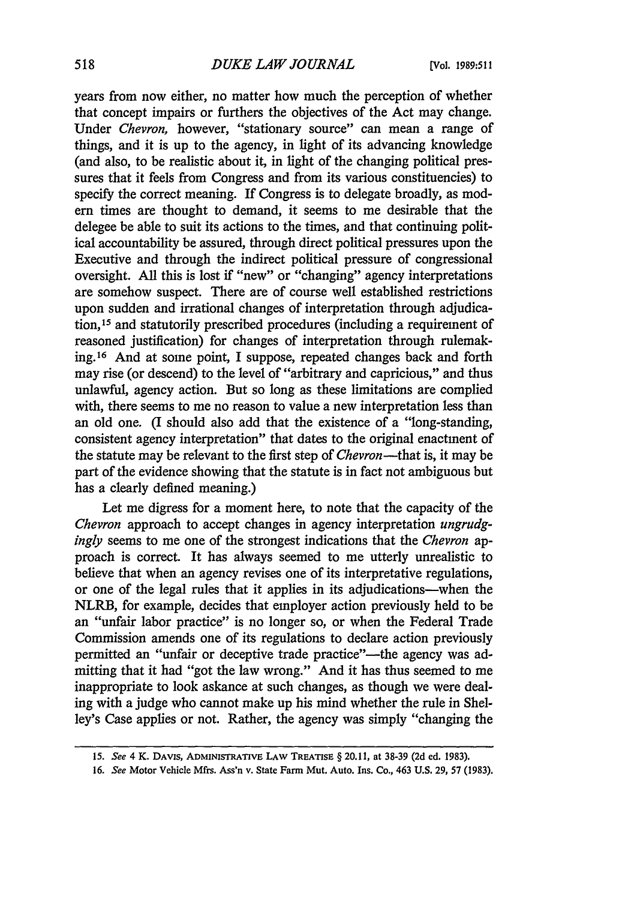### *DUKE LAW JOURNAL*

years from now either, no matter how much the perception of whether that concept impairs or furthers the objectives of the Act may change. Under *Chevron,* however, "stationary source" can mean a range of things, and it is up to the agency, in light of its advancing knowledge (and also, to be realistic about it, in light of the changing political pressures that it feels from Congress and from its various constituencies) to specify the correct meaning. If Congress is to delegate broadly, as modem times are thought to demand, it seems to me desirable that the delegee be able to suit its actions to the times, and that continuing political accountability be assured, through direct political pressures upon the Executive and through the indirect political pressure of congressional oversight. All this is lost if "new" or "changing" agency interpretations are somehow suspect. There are of course well established restrictions upon sudden and irrational changes of interpretation through adjudication,15 and statutorily prescribed procedures (including a requirement of reasoned justification) for changes of interpretation through rulemaking.16 And at some point, I suppose, repeated changes back and forth may rise (or descend) to the level of "arbitrary and capricious," and thus unlawful, agency action. But so long as these limitations are complied with, there seems to me no reason to value a new interpretation less than an old one. (I should also add that the existence of a "long-standing, consistent agency interpretation" that dates to the original enactment of the statute may be relevant to the first step of *Chevron-that* is, it may be part of the evidence showing that the statute is in fact not ambiguous but has a clearly defined meaning.)

Let me digress for a moment here, to note that the capacity of the *Chevron* approach to accept changes in agency interpretation *ungrudgingly* seems to me one of the strongest indications that the *Chevron* approach is correct. It has always seemed to me utterly unrealistic to believe that when an agency revises one of its interpretative regulations, or one of the legal rules that it applies in its adjudications-when the NLRB, for example, decides that employer action previously held to be an "unfair labor practice" is no longer so, or when the Federal Trade Commission amends one of its regulations to declare action previously permitted an "unfair or deceptive trade practice"-the agency was admitting that it had "got the law wrong." And it has thus seemed to me inappropriate to look askance at such changes, as though we were dealing with a judge who cannot make up his mind whether the rule in Shelley's Case applies or not. Rather, the agency was simply "changing the

**<sup>15.</sup>** *See* 4 **K.** DAVIS, **ADMINISTRATIVE LAW TREATISE** § **20.11, at 38-39 (2d ed. 1983).**

**<sup>16.</sup>** *See* Motor Vehicle Mfrs. Ass'n v. State Farm Mut. Auto. Ins. Co., 463 **U.S. 29, 57 (1983).**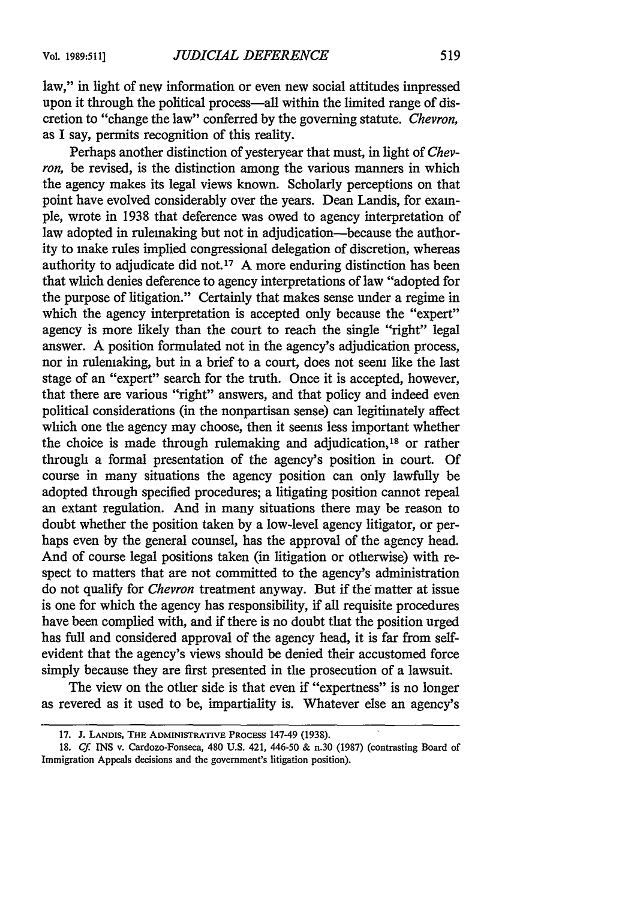law," in light of new information or even new social attitudes impressed upon it through the political process-all within the limited range of discretion to "change the law" conferred by the governing statute. *Chevron,* as I say, permits recognition of this reality.

Perhaps another distinction of yesteryear that must, in light of *Chevron,* be revised, is the distinction among the various manners in which the agency makes its legal views known. Scholarly perceptions on that point have evolved considerably over the years. Dean Landis, for example, wrote in 1938 that deference was owed to agency interpretation of law adopted in rulemaking but not in adjudication—because the authority to make rules implied congressional delegation of discretion, whereas authority to adjudicate did not. 17 A more enduring distinction has been that which denies deference to agency interpretations of law "adopted for the purpose of litigation." Certainly that makes sense under a regime in which the agency interpretation is accepted only because the "expert" agency is more likely than the court to reach the single "right" legal answer. A position formulated not in the agency's adjudication process, nor in rulemaking, but in a brief to a court, does not seem like the last stage of an "expert" search for the truth. Once it is accepted, however, that there are various "right" answers, and that policy and indeed even political considerations (in the nonpartisan sense) can legitimately affect which one the agency may choose, then it seems less important whether the choice is made through rulemaking and adjudication,18 or rather through a formal presentation of the agency's position in court. Of course in many situations the agency position can only lawfully be adopted through specified procedures; a litigating position cannot repeal an extant regulation. And in many situations there may be reason to doubt whether the position taken by a low-level agency litigator, or perhaps even by the general counsel, has the approval of the agency head. And of course legal positions taken (in litigation or otherwise) with respect to matters that are not committed to the agency's administration do not qualify for *Chevron* treatment anyway. But if the matter at issue is one for which the agency has responsibility, if all requisite procedures have been complied with, and if there is no doubt that the position urged has full and considered approval of the agency head, it is far from selfevident that the agency's views should be denied their accustomed force simply because they are first presented in the prosecution of a lawsuit.

The view on the other side is that even if "expertness" is no longer as revered as it used to be, impartiality is. Whatever else an agency's

**<sup>17.</sup> J. LANDIS, THE ADMINISTRATIVE PROCESS 147-49 (1938).**

**<sup>18.</sup> Cf** INS **v.** Cardozo-Fonseca, **480 U.S. 421,** 446-50 **& n.30 (1987)** (contrasting Board of Immigration Appeals decisions and **the** government's litigation position).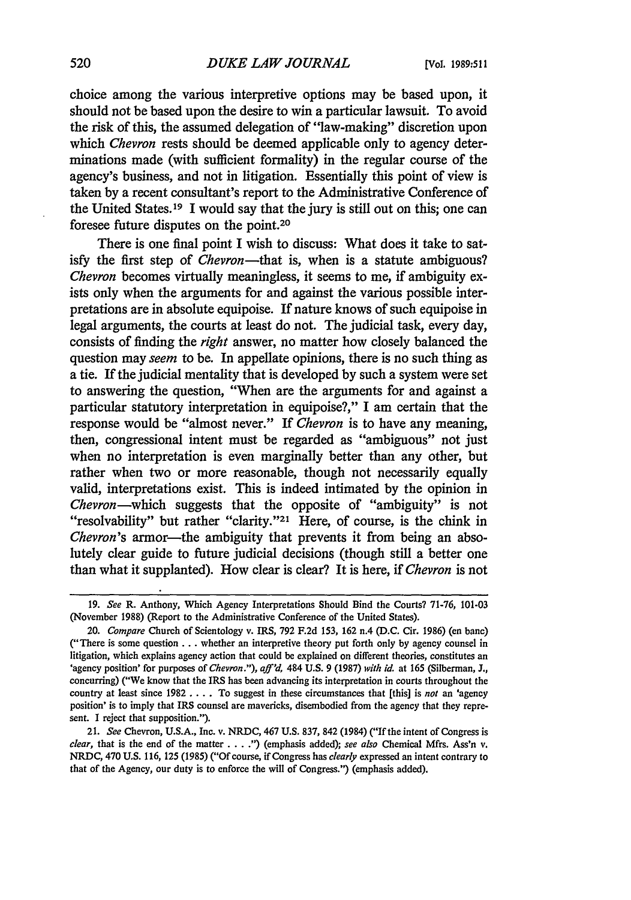choice among the various interpretive options may be based upon, it should not be based upon the desire to win a particular lawsuit. To avoid the risk of this, the assumed delegation of "law-making" discretion upon which *Chevron* rests should be deemed applicable only to agency determinations made (with sufficient formality) in the regular course of the agency's business, and not in litigation. Essentially this point of view is taken **by** a recent consultant's report to the Administrative Conference of the United States. <sup>19</sup>**I** would say that the jury is still out on this; one can foresee future disputes on the point.<sup>20</sup>

There is one final point I wish to discuss: What does it take to satisfy the first step of *Chevron-that* is, when is a statute ambiguous? *Chevron* becomes virtually meaningless, it seems to me, if ambiguity exists only when the arguments for and against the various possible interpretations are in absolute equipoise. If nature knows of such equipoise in legal arguments, the courts at least do not. The judicial task, every day, consists of finding the *right* answer, no matter how closely balanced the question may *seem* to be. In appellate opinions, there is no such thing as a tie. **If** the judicial mentality that is developed **by** such a system were set to answering the question, "When are the arguments for and against a particular statutory interpretation in equipoise?," I am certain that the response would be "almost never." **If** *Chevron* is to have any meaning, then, congressional intent must be regarded as "ambiguous" not just when no interpretation is even marginally better than any other, but rather when two or more reasonable, though not necessarily equally valid, interpretations exist. This is indeed intimated **by** the opinion in *Chevron-which* suggests that the opposite of "ambiguity" is not "resolvability" but rather "clarity."<sup>21</sup> Here, of course, is the chink in *Chevron's* armor—the ambiguity that prevents it from being an absolutely clear guide to future judicial decisions (though still a better one than what it supplanted). How clear is clear? It is here, if *Chevron* is not

**<sup>19.</sup>** *See* R. Anthony, Which Agency Interpretations Should Bind the Courts? **71-76, 101-03** (November **1988)** (Report to the Administrative Conference of the United States).

*<sup>20.</sup> Compare* Church of Scientology v. IRS, **792 F.2d 153, 162** n.4 **(D.C.** Cir. **1986) (en** banc) ("There is some question **...** whether an interpretive theory put forth only **by** agency counsel in litigation, which explains agency action that could be explained on different theories, constitutes an 'agency position' for purposes of *Chevron."), aff'd,* 484 **U.S. 9 (1987)** *with id.* at **165** (Silberman, **J.,** concurring) ("We know that the IRS has been advancing its interpretation in courts throughout the country at least since **1982 ....** To suggest in these circumstances that [this] is *not* an 'agency position' is to imply that IRS counsel are mavericks, disembodied from the agency that they represent. I reject that supposition.").

<sup>21.</sup> *See* Chevron, **U.S.A.,** Inc. v. NRDC, 467 **U.S. 837,** 842 (1984) **("If** the intent of Congress is *clear,* that is the end of the matter. **... )** (emphasis added); *see also* Chemical Mfrs. Ass'n v. NRDC, 470 **U.S. 116, 125 (1985) ("Of** course, if Congress has *clearly* expressed an intent contrary to that of the Agency, our duty is to enforce the will of Congress.") (emphasis added).